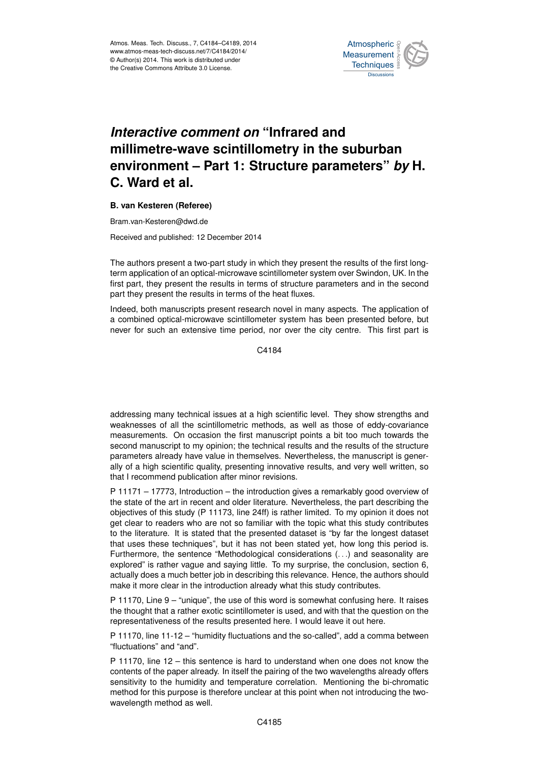

## *Interactive comment on* **"Infrared and millimetre-wave scintillometry in the suburban environment – Part 1: Structure parameters"** *by* **H. C. Ward et al.**

## **B. van Kesteren (Referee)**

Bram.van-Kesteren@dwd.de

Received and published: 12 December 2014

The authors present a two-part study in which they present the results of the first longterm application of an optical-microwave scintillometer system over Swindon, UK. In the first part, they present the results in terms of structure parameters and in the second part they present the results in terms of the heat fluxes.

Indeed, both manuscripts present research novel in many aspects. The application of a combined optical-microwave scintillometer system has been presented before, but never for such an extensive time period, nor over the city centre. This first part is

C4184

addressing many technical issues at a high scientific level. They show strengths and weaknesses of all the scintillometric methods, as well as those of eddy-covariance measurements. On occasion the first manuscript points a bit too much towards the second manuscript to my opinion; the technical results and the results of the structure parameters already have value in themselves. Nevertheless, the manuscript is generally of a high scientific quality, presenting innovative results, and very well written, so that I recommend publication after minor revisions.

P 11171 – 17773, Introduction – the introduction gives a remarkably good overview of the state of the art in recent and older literature. Nevertheless, the part describing the objectives of this study (P 11173, line 24ff) is rather limited. To my opinion it does not get clear to readers who are not so familiar with the topic what this study contributes to the literature. It is stated that the presented dataset is "by far the longest dataset that uses these techniques", but it has not been stated yet, how long this period is. Furthermore, the sentence "Methodological considerations (. . .) and seasonality are explored" is rather vague and saying little. To my surprise, the conclusion, section 6, actually does a much better job in describing this relevance. Hence, the authors should make it more clear in the introduction already what this study contributes.

P 11170, Line 9 – "unique", the use of this word is somewhat confusing here. It raises the thought that a rather exotic scintillometer is used, and with that the question on the representativeness of the results presented here. I would leave it out here.

P 11170, line 11-12 – "humidity fluctuations and the so-called", add a comma between "fluctuations" and "and".

P 11170, line 12 – this sentence is hard to understand when one does not know the contents of the paper already. In itself the pairing of the two wavelengths already offers sensitivity to the humidity and temperature correlation. Mentioning the bi-chromatic method for this purpose is therefore unclear at this point when not introducing the twowavelength method as well.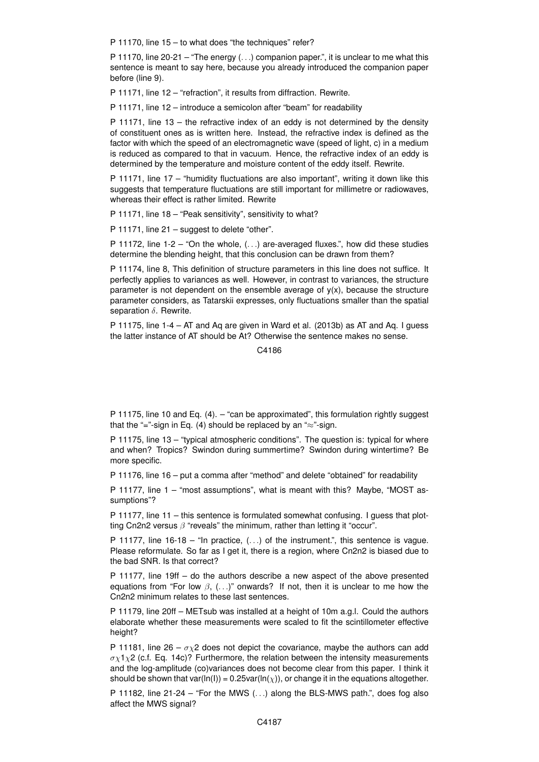P 11170, line 15 – to what does "the techniques" refer?

P 11170, line 20-21 – "The energy  $(\ldots)$  companion paper.", it is unclear to me what this sentence is meant to say here, because you already introduced the companion paper before (line 9).

P 11171, line 12 – "refraction", it results from diffraction. Rewrite.

P 11171, line 12 – introduce a semicolon after "beam" for readability

P 11171, line 13 – the refractive index of an eddy is not determined by the density of constituent ones as is written here. Instead, the refractive index is defined as the factor with which the speed of an electromagnetic wave (speed of light, c) in a medium is reduced as compared to that in vacuum. Hence, the refractive index of an eddy is determined by the temperature and moisture content of the eddy itself. Rewrite.

P 11171, line 17 – "humidity fluctuations are also important", writing it down like this suggests that temperature fluctuations are still important for millimetre or radiowaves, whereas their effect is rather limited. Rewrite

P 11171, line 18 – "Peak sensitivity", sensitivity to what?

P 11171, line 21 – suggest to delete "other".

P 11172, line 1-2 – "On the whole,  $(\ldots)$  are-averaged fluxes.", how did these studies determine the blending height, that this conclusion can be drawn from them?

P 11174, line 8, This definition of structure parameters in this line does not suffice. It perfectly applies to variances as well. However, in contrast to variances, the structure parameter is not dependent on the ensemble average of  $y(x)$ , because the structure parameter considers, as Tatarskii expresses, only fluctuations smaller than the spatial separation  $\delta$ . Rewrite.

P 11175, line 1-4 – AT and Aq are given in Ward et al. (2013b) as AT and Aq. I guess the latter instance of AT should be At? Otherwise the sentence makes no sense.

C<sub>4186</sub>

P 11175, line 10 and Eq. (4). – "can be approximated", this formulation rightly suggest that the "="-sign in Eq. (4) should be replaced by an " $\approx$ "-sign.

P 11175, line 13 – "typical atmospheric conditions". The question is: typical for where and when? Tropics? Swindon during summertime? Swindon during wintertime? Be more specific.

P 11176, line 16 – put a comma after "method" and delete "obtained" for readability

P 11177, line 1 – "most assumptions", what is meant with this? Maybe, "MOST assumptions"?

P 11177, line 11 – this sentence is formulated somewhat confusing. I guess that plotting Cn2n2 versus  $\beta$  "reveals" the minimum, rather than letting it "occur".

P 11177, line  $16-18 -$  "In practice,  $(\ldots)$  of the instrument.", this sentence is vague. Please reformulate. So far as I get it, there is a region, where Cn2n2 is biased due to the bad SNR. Is that correct?

P 11177, line 19ff – do the authors describe a new aspect of the above presented equations from "For low  $\beta$ , (...)" onwards? If not, then it is unclear to me how the Cn2n2 minimum relates to these last sentences.

P 11179, line 20ff – METsub was installed at a height of 10m a.g.l. Could the authors elaborate whether these measurements were scaled to fit the scintillometer effective height?

P 11181, line 26 –  $\sigma_{\rm X}$ 2 does not depict the covariance, maybe the authors can add  $\sigma_{\rm X}$ 1 $\chi$ 2 (c.f. Eq. 14c)? Furthermore, the relation between the intensity measurements and the log-amplitude (co)variances does not become clear from this paper. I think it should be shown that var(ln(l)) = 0.25var(ln( $\chi$ )), or change it in the equations altogether.

P 11182, line  $21-24$  – "For the MWS  $(...)$  along the BLS-MWS path.", does fog also affect the MWS signal?